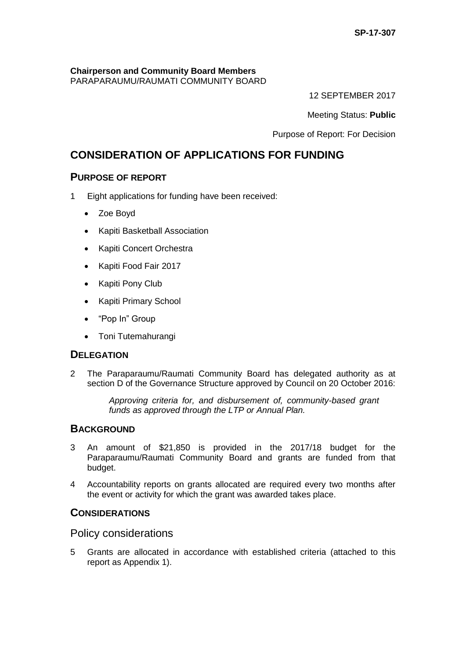# **Chairperson and Community Board Members**

PARAPARAUMU/RAUMATI COMMUNITY BOARD

12 SEPTEMBER 2017

Meeting Status: **Public**

Purpose of Report: For Decision

# **CONSIDERATION OF APPLICATIONS FOR FUNDING**

## **PURPOSE OF REPORT**

- 1 Eight applications for funding have been received:
	- Zoe Boyd
	- Kapiti Basketball Association
	- Kapiti Concert Orchestra
	- Kapiti Food Fair 2017
	- Kapiti Pony Club
	- Kapiti Primary School
	- "Pop In" Group
	- Toni Tutemahurangi

## **DELEGATION**

2 The Paraparaumu/Raumati Community Board has delegated authority as at section D of the Governance Structure approved by Council on 20 October 2016:

> *Approving criteria for, and disbursement of, community-based grant funds as approved through the LTP or Annual Plan.*

## **BACKGROUND**

- 3 An amount of \$21,850 is provided in the 2017/18 budget for the Paraparaumu/Raumati Community Board and grants are funded from that budget.
- 4 Accountability reports on grants allocated are required every two months after the event or activity for which the grant was awarded takes place.

## **CONSIDERATIONS**

Policy considerations

5 Grants are allocated in accordance with established criteria (attached to this report as Appendix 1).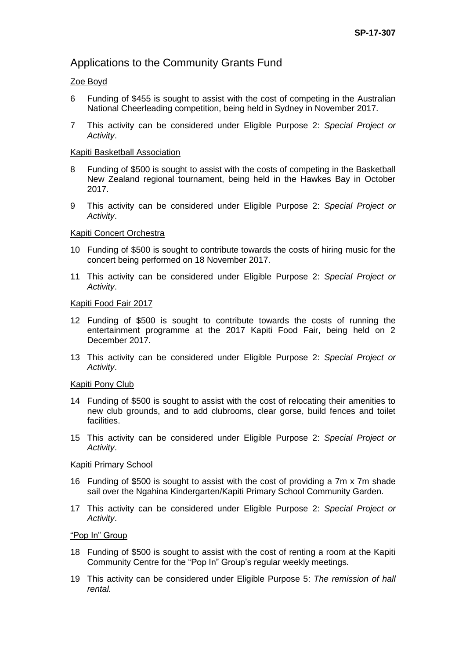# Applications to the Community Grants Fund

### Zoe Boyd

- 6 Funding of \$455 is sought to assist with the cost of competing in the Australian National Cheerleading competition, being held in Sydney in November 2017.
- 7 This activity can be considered under Eligible Purpose 2: *Special Project or Activity*.

#### Kapiti Basketball Association

- 8 Funding of \$500 is sought to assist with the costs of competing in the Basketball New Zealand regional tournament, being held in the Hawkes Bay in October 2017.
- 9 This activity can be considered under Eligible Purpose 2: *Special Project or Activity*.

#### Kapiti Concert Orchestra

- 10 Funding of \$500 is sought to contribute towards the costs of hiring music for the concert being performed on 18 November 2017.
- 11 This activity can be considered under Eligible Purpose 2: *Special Project or Activity*.

#### Kapiti Food Fair 2017

- 12 Funding of \$500 is sought to contribute towards the costs of running the entertainment programme at the 2017 Kapiti Food Fair, being held on 2 December 2017.
- 13 This activity can be considered under Eligible Purpose 2: *Special Project or Activity*.

#### Kapiti Pony Club

- 14 Funding of \$500 is sought to assist with the cost of relocating their amenities to new club grounds, and to add clubrooms, clear gorse, build fences and toilet facilities.
- 15 This activity can be considered under Eligible Purpose 2: *Special Project or Activity*.

#### Kapiti Primary School

- 16 Funding of \$500 is sought to assist with the cost of providing a 7m x 7m shade sail over the Ngahina Kindergarten/Kapiti Primary School Community Garden.
- 17 This activity can be considered under Eligible Purpose 2: *Special Project or Activity*.

#### "Pop In" Group

- 18 Funding of \$500 is sought to assist with the cost of renting a room at the Kapiti Community Centre for the "Pop In" Group's regular weekly meetings.
- 19 This activity can be considered under Eligible Purpose 5: *The remission of hall rental.*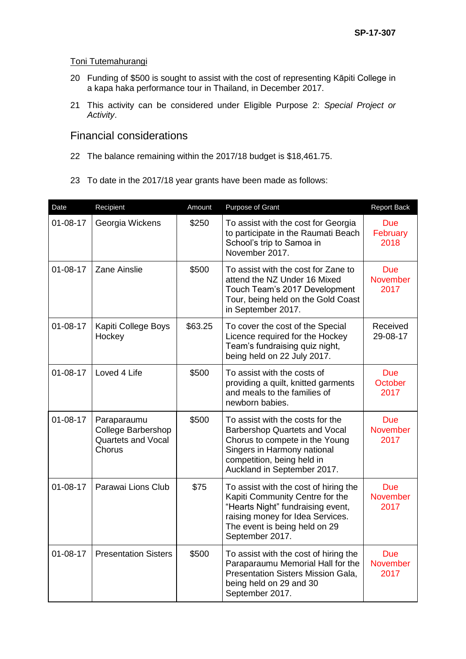### Toni Tutemahurangi

- 20 Funding of \$500 is sought to assist with the cost of representing Kāpiti College in a kapa haka performance tour in Thailand, in December 2017.
- 21 This activity can be considered under Eligible Purpose 2: *Special Project or Activity*.

# Financial considerations

- 22 The balance remaining within the 2017/18 budget is \$18,461.75.
- 23 To date in the 2017/18 year grants have been made as follows:

| Date           | Recipient                                                                | Amount  | Purpose of Grant                                                                                                                                                                                                                               | <b>Report Back</b>                    |
|----------------|--------------------------------------------------------------------------|---------|------------------------------------------------------------------------------------------------------------------------------------------------------------------------------------------------------------------------------------------------|---------------------------------------|
| $01 - 08 - 17$ | Georgia Wickens                                                          | \$250   | To assist with the cost for Georgia<br>to participate in the Raumati Beach<br>School's trip to Samoa in<br>November 2017.                                                                                                                      | <b>Due</b><br>February<br>2018        |
| $01 - 08 - 17$ | <b>Zane Ainslie</b>                                                      | \$500   | To assist with the cost for Zane to<br>attend the NZ Under 16 Mixed<br>Touch Team's 2017 Development<br>Tour, being held on the Gold Coast<br>in September 2017.                                                                               | <b>Due</b><br><b>November</b><br>2017 |
| $01 - 08 - 17$ | Kapiti College Boys<br>Hockey                                            | \$63.25 | To cover the cost of the Special<br>Licence required for the Hockey<br>Team's fundraising quiz night,<br>being held on 22 July 2017.                                                                                                           | Received<br>29-08-17                  |
| $01 - 08 - 17$ | Loved 4 Life                                                             | \$500   | To assist with the costs of<br>providing a quilt, knitted garments<br>and meals to the families of<br>newborn babies.                                                                                                                          | <b>Due</b><br>October<br>2017         |
| $01 - 08 - 17$ | Paraparaumu<br><b>College Barbershop</b><br>Quartets and Vocal<br>Chorus | \$500   | To assist with the costs for the<br><b>Barbershop Quartets and Vocal</b><br>Chorus to compete in the Young<br>Singers in Harmony national<br>competition, being held in<br>Auckland in September 2017.                                         | <b>Due</b><br>November<br>2017        |
| $01 - 08 - 17$ | Parawai Lions Club                                                       | \$75    | To assist with the cost of hiring the<br><b>Due</b><br>Kapiti Community Centre for the<br><b>November</b><br>"Hearts Night" fundraising event,<br>2017<br>raising money for Idea Services.<br>The event is being held on 29<br>September 2017. |                                       |
| $01 - 08 - 17$ | <b>Presentation Sisters</b>                                              | \$500   | To assist with the cost of hiring the<br>Paraparaumu Memorial Hall for the<br><b>Presentation Sisters Mission Gala,</b><br>being held on 29 and 30<br>September 2017.                                                                          | <b>Due</b><br><b>November</b><br>2017 |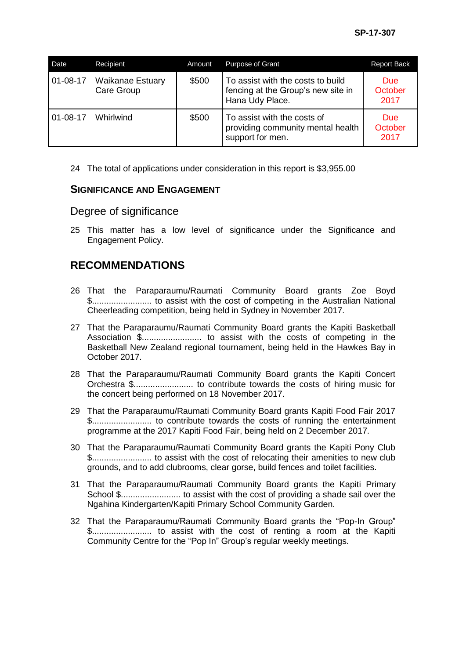| Date           | Recipient                      | Amount | <b>Purpose of Grant</b>                                                                    | <b>Report Back</b>            |
|----------------|--------------------------------|--------|--------------------------------------------------------------------------------------------|-------------------------------|
| 01-08-17       | Waikanae Estuary<br>Care Group | \$500  | To assist with the costs to build<br>fencing at the Group's new site in<br>Hana Udy Place. | <b>Due</b><br>October<br>2017 |
| $01 - 08 - 17$ | Whirlwind                      | \$500  | To assist with the costs of<br>providing community mental health<br>support for men.       | <b>Due</b><br>October<br>2017 |

24 The total of applications under consideration in this report is \$3,955.00

### **SIGNIFICANCE AND ENGAGEMENT**

### Degree of significance

25 This matter has a low level of significance under the Significance and Engagement Policy.

# **RECOMMENDATIONS**

- 26 That the Paraparaumu/Raumati Community Board grants Zoe Boyd \$......................... to assist with the cost of competing in the Australian National Cheerleading competition, being held in Sydney in November 2017.
- 27 That the Paraparaumu/Raumati Community Board grants the Kapiti Basketball Association \$......................... to assist with the costs of competing in the Basketball New Zealand regional tournament, being held in the Hawkes Bay in October 2017.
- 28 That the Paraparaumu/Raumati Community Board grants the Kapiti Concert Orchestra \$......................... to contribute towards the costs of hiring music for the concert being performed on 18 November 2017.
- 29 That the Paraparaumu/Raumati Community Board grants Kapiti Food Fair 2017 \$......................... to contribute towards the costs of running the entertainment programme at the 2017 Kapiti Food Fair, being held on 2 December 2017.
- 30 That the Paraparaumu/Raumati Community Board grants the Kapiti Pony Club \$......................... to assist with the cost of relocating their amenities to new club grounds, and to add clubrooms, clear gorse, build fences and toilet facilities.
- 31 That the Paraparaumu/Raumati Community Board grants the Kapiti Primary School \$......................... to assist with the cost of providing a shade sail over the Ngahina Kindergarten/Kapiti Primary School Community Garden.
- 32 That the Paraparaumu/Raumati Community Board grants the "Pop-In Group" \$......................... to assist with the cost of renting a room at the Kapiti Community Centre for the "Pop In" Group's regular weekly meetings.